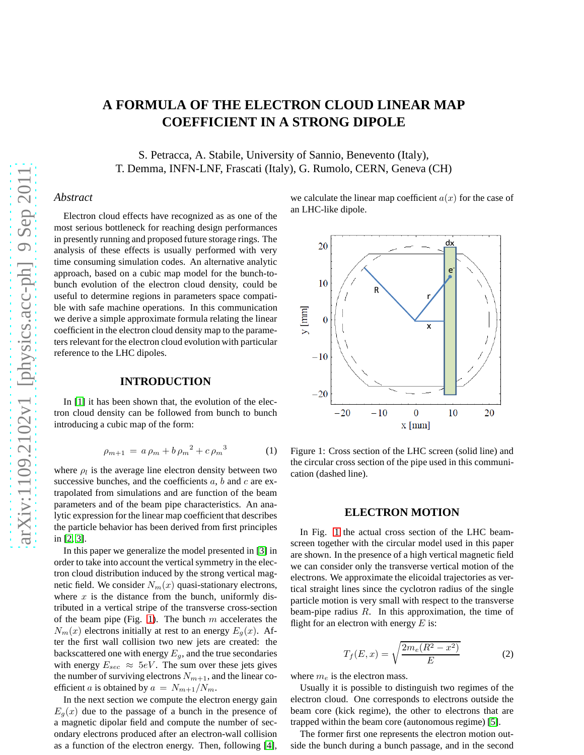# **A FORMULA OF THE ELECTRON CLOUD LINEAR MAP COEFFICIENT IN A STRONG DIPOLE**

S. Petracca, A. Stabile, University of Sannio, Benevento (Italy), T. Demma, INFN-LNF, Frascati (Italy), G. Rumolo, CERN, Geneva (CH)

# *Abstract*

Electron cloud effects have recognized as as one of the most serious bottleneck for reaching design performances in presently running and proposed future storage rings. The analysis of these effects is usually performed with very time consuming simulation codes. An alternative analytic approach, based on a cubic map model for the bunch-tobunch evolution of the electron cloud density, could be useful to determine regions in parameters space compatible with safe machine operations. In this communication we derive a simple approximate formula relating the linear coefficient in the electron cloud density map to the parameters relevant for the electron cloud evolution with particular reference to the LHC dipoles.

# **INTRODUCTION**

In [\[1\]](#page-2-0) it has been shown that, the evolution of the electron cloud density can be followed from bunch to bunch introducing a cubic map of the form:

$$
\rho_{m+1} = a \rho_m + b \rho_m^2 + c \rho_m^3 \tag{1}
$$

where  $\rho_l$  is the average line electron density between two successive bunches, and the coefficients  $a$ ,  $b$  and  $c$  are extrapolated from simulations and are function of the beam parameters and of the beam pipe characteristics. An analytic expression for the linear map coefficient that describes the particle behavior has been derived from first principles in [\[2,](#page-2-1) [3\]](#page-2-2).

In this paper we generalize the model presented in [\[3\]](#page-2-2) in order to take into account the vertical symmetry in the electron cloud distribution induced by the strong vertical magnetic field. We consider  $N_m(x)$  quasi-stationary electrons, where  $x$  is the distance from the bunch, uniformly distributed in a vertical stripe of the transverse cross-section of the beam pipe (Fig. [1\)](#page-0-0). The bunch  $m$  accelerates the  $N_m(x)$  electrons initially at rest to an energy  $E_q(x)$ . After the first wall collision two new jets are created: the backscattered one with energy  $E_g$ , and the true secondaries with energy  $E_{sec} \approx 5eV$ . The sum over these jets gives the number of surviving electrons  $N_{m+1}$ , and the linear coefficient a is obtained by  $a = N_{m+1}/N_m$ .

In the next section we compute the electron energy gain  $E_q(x)$  due to the passage of a bunch in the presence of a magnetic dipolar field and compute the number of secondary electrons produced after an electron-wall collision as a function of the electron energy. Then, following [\[4\]](#page-2-3), we calculate the linear map coefficient  $a(x)$  for the case of an LHC-like dipole.



<span id="page-0-0"></span>Figure 1: Cross section of the LHC screen (solid line) and the circular cross section of the pipe used in this communication (dashed line).

#### **ELECTRON MOTION**

In Fig. [1](#page-0-0) the actual cross section of the LHC beamscreen together with the circular model used in this paper are shown. In the presence of a high vertical magnetic field we can consider only the transverse vertical motion of the electrons. We approximate the elicoidal trajectories as vertical straight lines since the cyclotron radius of the single particle motion is very small with respect to the transverse beam-pipe radius  $R$ . In this approximation, the time of flight for an electron with energy  $E$  is:

$$
T_f(E, x) = \sqrt{\frac{2m_e(R^2 - x^2)}{E}}
$$
 (2)

where  $m_e$  is the electron mass.

Usually it is possible to distinguish two regimes of the electron cloud. One corresponds to electrons outside the beam core (kick regime), the other to electrons that are trapped within the beam core (autonomous regime) [\[5\]](#page-2-4).

The former first one represents the electron motion outside the bunch during a bunch passage, and in the second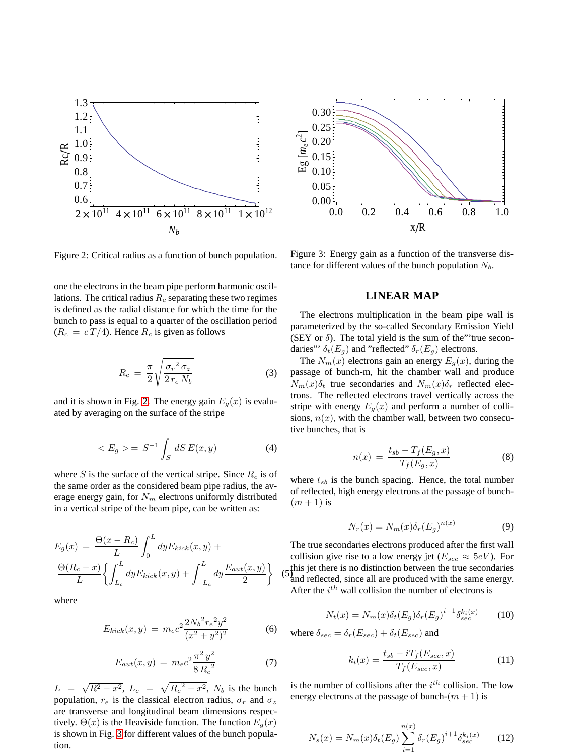

<span id="page-1-0"></span>Figure 2: Critical radius as a function of bunch population.

one the electrons in the beam pipe perform harmonic oscillations. The critical radius  $R_c$  separating these two regimes is defined as the radial distance for which the time for the bunch to pass is equal to a quarter of the oscillation period  $(R_c = cT/4)$ . Hence  $R_c$  is given as follows

$$
R_c = \frac{\pi}{2} \sqrt{\frac{\sigma_r^2 \sigma_z}{2 r_e N_b}}
$$
 (3)

and it is shown in Fig. [2.](#page-1-0) The energy gain  $E<sub>q</sub>(x)$  is evaluated by averaging on the surface of the stripe

$$
\langle E_g \rangle = S^{-1} \int_S dS E(x, y) \tag{4}
$$

where S is the surface of the vertical stripe. Since  $R_c$  is of the same order as the considered beam pipe radius, the average energy gain, for  $N_m$  electrons uniformly distributed in a vertical stripe of the beam pipe, can be written as:

$$
E_g(x) = \frac{\Theta(x - R_c)}{L} \int_0^L dy E_{kick}(x, y) +
$$

$$
\frac{\Theta(R_c - x)}{L} \left\{ \int_{L_c}^L dy E_{kick}(x, y) + \int_{-L_c}^L dy \frac{E_{aut}(x, y)}{2} \right\}
$$

where

$$
E_{kick}(x,y) = m_e c^2 \frac{2N_b^2 r_e^2 y^2}{(x^2 + y^2)^2}
$$
 (6)

$$
E_{aut}(x,y) = m_e c^2 \frac{\pi^2 y^2}{8 R_c^2}
$$
 (7)

 $L = \sqrt{R^2 - x^2}$ ,  $L_c = \sqrt{R_c^2 - x^2}$ ,  $N_b$  is the bunch population,  $r_e$  is the classical electron radius,  $\sigma_r$  and  $\sigma_z$ are transverse and longitudinal beam dimensions respectively.  $\Theta(x)$  is the Heaviside function. The function  $E_g(x)$ is shown in Fig. [3](#page-1-1) for different values of the bunch population.



<span id="page-1-1"></span>Figure 3: Energy gain as a function of the transverse distance for different values of the bunch population  $N_b$ .

# **LINEAR MAP**

The electrons multiplication in the beam pipe wall is parameterized by the so-called Secondary Emission Yield (SEY or  $\delta$ ). The total yield is the sum of the "'true secondaries"'  $\delta_t(E_g)$  and "reflected"  $\delta_r(E_g)$  electrons.

The  $N_m(x)$  electrons gain an energy  $E_q(x)$ , during the passage of bunch-m, hit the chamber wall and produce  $N_m(x)\delta_t$  true secondaries and  $N_m(x)\delta_r$  reflected electrons. The reflected electrons travel vertically across the stripe with energy  $E<sub>g</sub>(x)$  and perform a number of collisions,  $n(x)$ , with the chamber wall, between two consecutive bunches, that is

$$
n(x) = \frac{t_{sb} - T_f(E_g, x)}{T_f(E_g, x)}
$$
(8)

where  $t_{sb}$  is the bunch spacing. Hence, the total number of reflected, high energy electrons at the passage of bunch-  $(m+1)$  is

$$
N_r(x) = N_m(x)\delta_r(E_g)^{n(x)}
$$
\n(9)

 $(5)$  this jet there is no distinction between the true secondaries The true secondaries electrons produced after the first wall collision give rise to a low energy jet ( $E_{sec} \approx 5eV$ ). For and reflected, since all are produced with the same energy. After the  $i^{th}$  wall collision the number of electrons is

$$
N_t(x) = N_m(x)\delta_t(E_g)\delta_r(E_g)^{i-1}\delta_{sec}^{k_i(x)}
$$
 (10)

where  $\delta_{sec} = \delta_r(E_{sec}) + \delta_t(E_{sec})$  and

$$
k_i(x) = \frac{t_{sb} - iT_f(E_{sec}, x)}{T_f(E_{sec}, x)}
$$
(11)

is the number of collisions after the  $i^{th}$  collision. The low energy electrons at the passage of bunch- $(m + 1)$  is

$$
N_s(x) = N_m(x)\delta_t(E_g) \sum_{i=1}^{n(x)} \delta_r(E_g)^{i+1} \delta_{sec}^{k_i(x)}
$$
 (12)